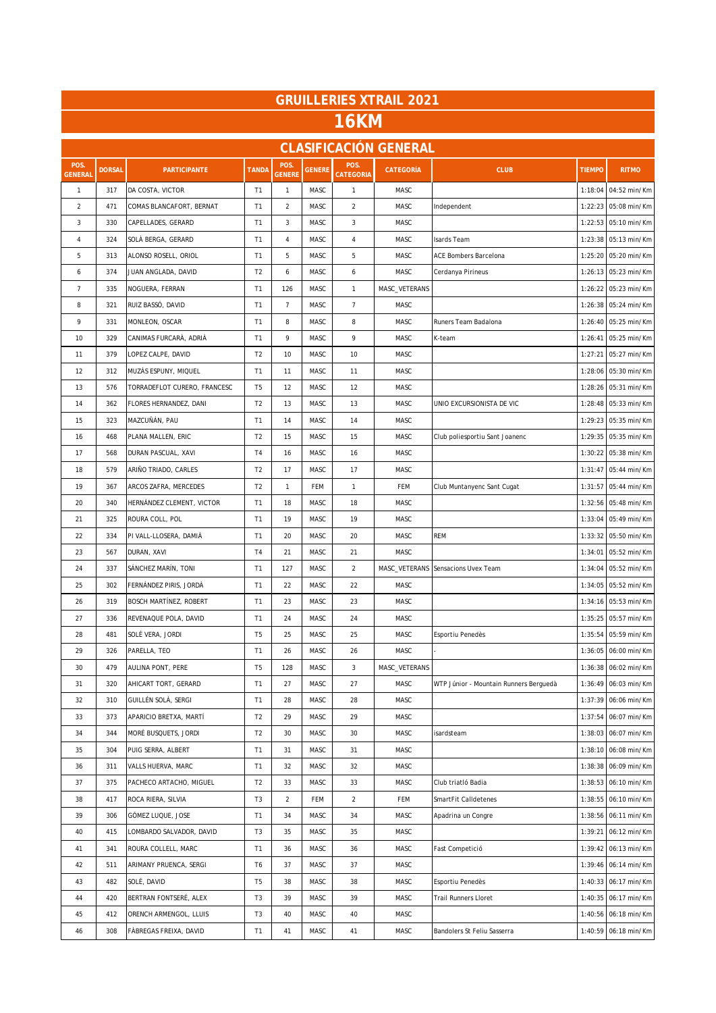| <b>GRUILLERIES XTRAIL 2021</b> |               |                              |                |                |               |                   |                              |                                        |               |                      |  |  |
|--------------------------------|---------------|------------------------------|----------------|----------------|---------------|-------------------|------------------------------|----------------------------------------|---------------|----------------------|--|--|
| <b>16KM</b>                    |               |                              |                |                |               |                   |                              |                                        |               |                      |  |  |
|                                |               |                              |                |                |               |                   | <b>CLASIFICACIÓN GENERAL</b> |                                        |               |                      |  |  |
| POS.<br>GENERAL                | <b>DORSAL</b> | <b>PARTICIPANTE</b>          | <b>TANDA</b>   | POS.<br>GENERE | <b>GENERE</b> | POS.<br>CATEGORIA | <b>CATEGORÍA</b>             | <b>CLUB</b>                            | <b>TIEMPO</b> | <b>RITMO</b>         |  |  |
| $\mathbf{1}$                   | 317           | DA COSTA, VICTOR             | T <sub>1</sub> | $\mathbf{1}$   | MASC          | $\mathbf{1}$      | MASC                         |                                        | 1:18:04       | 04:52 min/Km         |  |  |
| $\overline{c}$                 | 471           | COMAS BLANCAFORT, BERNAT     | T <sub>1</sub> | $\overline{2}$ | MASC          | $\overline{c}$    | MASC                         | Independent                            | 1:22:23       | 05:08 min/Km         |  |  |
| 3                              | 330           | CAPELLADES, GERARD           | T1             | $\mathbf{3}$   | MASC          | 3                 | MASC                         |                                        | 1:22:53       | 05:10 min/Km         |  |  |
| $\sqrt{4}$                     | 324           | SOLÀ BERGA, GERARD           | T <sub>1</sub> | $\overline{4}$ | MASC          | 4                 | MASC                         | Isards Team                            | 1:23:38       | 05:13 min/Km         |  |  |
| 5                              | 313           | ALONSO ROSELL, ORIOL         | T1             | 5              | MASC          | 5                 | MASC                         | <b>ACE Bombers Barcelona</b>           | 1:25:20       | 05:20 min/Km         |  |  |
| 6                              | 374           | JUAN ANGLADA, DAVID          | T <sub>2</sub> | 6              | MASC          | 6                 | MASC                         | Cerdanya Pirineus                      | 1:26:13       | 05:23 min/Km         |  |  |
| $\overline{7}$                 | 335           | NOGUERA, FERRAN              | T1             | 126            | MASC          | 1                 | MASC_VETERANS                |                                        | 1:26:22       | 05:23 min/Km         |  |  |
| 8                              | 321           | RUIZ BASSÓ, DAVID            | T <sub>1</sub> | $\overline{7}$ | MASC          | $\overline{7}$    | MASC                         |                                        | 1:26:38       | 05:24 min/Km         |  |  |
| 9                              | 331           | MONLEON, OSCAR               | T <sub>1</sub> | $\,$ 8 $\,$    | MASC          | 8                 | MASC                         | Runers Team Badalona                   | 1:26:40       | 05:25 min/Km         |  |  |
| 10                             | 329           | CANIMAS FURCARÀ, ADRIÀ       | T <sub>1</sub> | 9              | MASC          | 9                 | MASC                         | K-team                                 | 1:26:41       | 05:25 min/Km         |  |  |
| 11                             | 379           | LOPEZ CALPE, DAVID           | T <sub>2</sub> | 10             | MASC          | 10                | MASC                         |                                        | 1:27:21       | 05:27 min/Km         |  |  |
| 12                             | 312           | MUZÁS ESPUNY, MIQUEL         | T1             | 11             | MASC          | 11                | MASC                         |                                        | 1:28:06       | 05:30 min/Km         |  |  |
| 13                             | 576           | TORRADEFLOT CURERO, FRANCESC | T <sub>5</sub> | 12             | MASC          | 12                | MASC                         |                                        | 1:28:26       | 05:31 min/Km         |  |  |
| 14                             | 362           | FLORES HERNANDEZ, DANI       | T <sub>2</sub> | 13             | MASC          | 13                | MASC                         | UNIO EXCURSIONISTA DE VIC              | 1:28:48       | 05:33 min/Km         |  |  |
| 15                             | 323           | MAZCUÑÁN, PAU                | T <sub>1</sub> | 14             | MASC          | 14                | MASC                         |                                        | 1:29:23       | 05:35 min/Km         |  |  |
| 16                             | 468           | PLANA MALLEN, ERIC           | T <sub>2</sub> | 15             | MASC          | 15                | MASC                         | Club poliesportiu Sant Joanenc         | 1:29:35       | 05:35 min/Km         |  |  |
| 17                             | 568           | DURAN PASCUAL, XAVI          | T4             | 16             | MASC          | 16                | MASC                         |                                        | 1:30:22       | 05:38 min/Km         |  |  |
| 18                             | 579           | ARIÑO TRIADO, CARLES         | T <sub>2</sub> | 17             | MASC          | 17                | MASC                         |                                        | 1:31:47       | 05:44 min/Km         |  |  |
| 19                             | 367           | ARCOS ZAFRA, MERCEDES        | T <sub>2</sub> | $\mathbf{1}$   | FEM           | 1                 | FEM                          | Club Muntanyenc Sant Cugat             | 1:31:57       | 05:44 min/Km         |  |  |
| 20                             | 340           | HERNÁNDEZ CLEMENT, VICTOR    | T <sub>1</sub> | 18             | MASC          | 18                | MASC                         |                                        | 1:32:56       | 05:48 min/Km         |  |  |
| 21                             | 325           | ROURA COLL, POL              | T1             | 19             | MASC          | 19                | MASC                         |                                        | 1:33:04       | 05:49 min/Km         |  |  |
| 22                             | 334           | PI VALL-LLOSERA, DAMIÀ       | T1             | 20             | MASC          | 20                | MASC                         | <b>REM</b>                             | 1:33:32       | 05:50 min/Km         |  |  |
| 23                             | 567           | DURAN, XAVI                  | T4             | 21             | MASC          | 21                | MASC                         |                                        | 1:34:01       | 05:52 min/Km         |  |  |
| 24                             | 337           | SÁNCHEZ MARÍN, TONI          | T1             | 127            | MASC          | $\overline{a}$    |                              | MASC_VETERANS Sensacions Uvex Team     | 1:34:04       | 05:52 min/Km         |  |  |
| 25                             | 302           | FERNÁNDEZ PIRIS, JORDÀ       | T <sub>1</sub> | 22             | MASC          | 22                | MASC                         |                                        | 1:34:05       | 05:52 min/Km         |  |  |
| 26                             | 319           | BOSCH MARTÍNEZ, ROBERT       | T1             | 23             | MASC          | 23                | MASC                         |                                        | 1:34:16       | 05:53 min/Km         |  |  |
| 27                             | 336           | REVENAQUE POLA, DAVID        | T <sub>1</sub> | 24             | MASC          | 24                | MASC                         |                                        | 1:35:25       | 05:57 min/Km         |  |  |
| 28                             | 481           | SOLÉ VERA, JORDI             | T <sub>5</sub> | 25             | MASC          | 25                | MASC                         | Esportiu Penedès                       |               | 1:35:54 05:59 min/Km |  |  |
| 29                             | 326           | PARELLA, TEO                 | T <sub>1</sub> | 26             | MASC          | 26                | MASC                         |                                        | 1:36:05       | 06:00 min/Km         |  |  |
| 30                             | 479           | AULINA PONT, PERE            | T <sub>5</sub> | 128            | MASC          | 3                 | MASC_VETERANS                |                                        | 1:36:38       | 06:02 min/Km         |  |  |
| 31                             | 320           | AHICART TORT, GERARD         | T1             | 27             | MASC          | 27                | MASC                         | WTP Júnior - Mountain Runners Berguedà | 1:36:49       | 06:03 min/Km         |  |  |
| 32                             | 310           | GUILLÉN SOLÀ, SERGI          | T <sub>1</sub> | 28             | MASC          | 28                | MASC                         |                                        | 1:37:39       | 06:06 min/Km         |  |  |
| 33                             | 373           | APARICIO BRETXA, MARTÍ       | T <sub>2</sub> | 29             | MASC          | 29                | MASC                         |                                        | 1:37:54       | 06:07 min/Km         |  |  |
| 34                             | 344           | MORÉ BUSQUETS, JORDI         | T <sub>2</sub> | 30             | MASC          | 30                | MASC                         | isardsteam                             | 1:38:03       | 06:07 min/Km         |  |  |
| 35                             | 304           | PUIG SERRA, ALBERT           | T1             | 31             | MASC          | 31                | MASC                         |                                        | 1:38:10       | 06:08 min/Km         |  |  |
| 36                             | 311           | VALLS HUERVA, MARC           | T1             | 32             | MASC          | 32                | MASC                         |                                        | 1:38:38       | 06:09 min/Km         |  |  |
| 37                             | 375           | PACHECO ARTACHO, MIGUEL      | T <sub>2</sub> | 33             | MASC          | 33                | MASC                         | Club triatló Badia                     | 1:38:53       | 06:10 min/Km         |  |  |
| 38                             | 417           | ROCA RIERA, SILVIA           | T <sub>3</sub> | $\overline{2}$ | FEM           | $\overline{a}$    | FEM                          | SmartFit Calldetenes                   | 1:38:55       | 06:10 min/Km         |  |  |
| 39                             | 306           | GÓMEZ LUQUE, JOSE            | T1             | 34             | MASC          | 34                | MASC                         | Apadrina un Congre                     | 1:38:56       | 06:11 min/Km         |  |  |
| 40                             | 415           | LOMBARDO SALVADOR, DAVID     | T3             | 35             | MASC          | 35                | MASC                         |                                        | 1:39:21       | 06:12 min/Km         |  |  |
| 41                             | 341           | ROURA COLLELL, MARC          | T1             | 36             | MASC          | 36                | MASC                         | Fast Competició                        | 1:39:42       | 06:13 min/Km         |  |  |
| 42                             | 511           | ARIMANY PRUENCA, SERGI       | T6             | 37             | MASC          | 37                | MASC                         |                                        | 1:39:46       | 06:14 min/Km         |  |  |
| 43                             | 482           | SOLÉ, DAVID                  | T <sub>5</sub> | 38             | MASC          | 38                | MASC                         | Esportiu Penedès                       | 1:40:33       | 06:17 min/Km         |  |  |
| 44                             | 420           | BERTRAN FONTSERÉ, ALEX       | T3             | 39             | MASC          | 39                | MASC                         | Trail Runners Lloret                   | 1:40:35       | 06:17 min/Km         |  |  |
| 45                             | 412           | ORENCH ARMENGOL, LLUIS       | T <sub>3</sub> | 40             | MASC          | 40                | MASC                         |                                        | 1:40:56       | 06:18 min/Km         |  |  |
| 46                             | 308           | FÀBREGAS FREIXA, DAVID       | T1             | 41             | MASC          | 41                | MASC                         | Bandolers St Feliu Sasserra            | 1:40:59       | 06:18 min/Km         |  |  |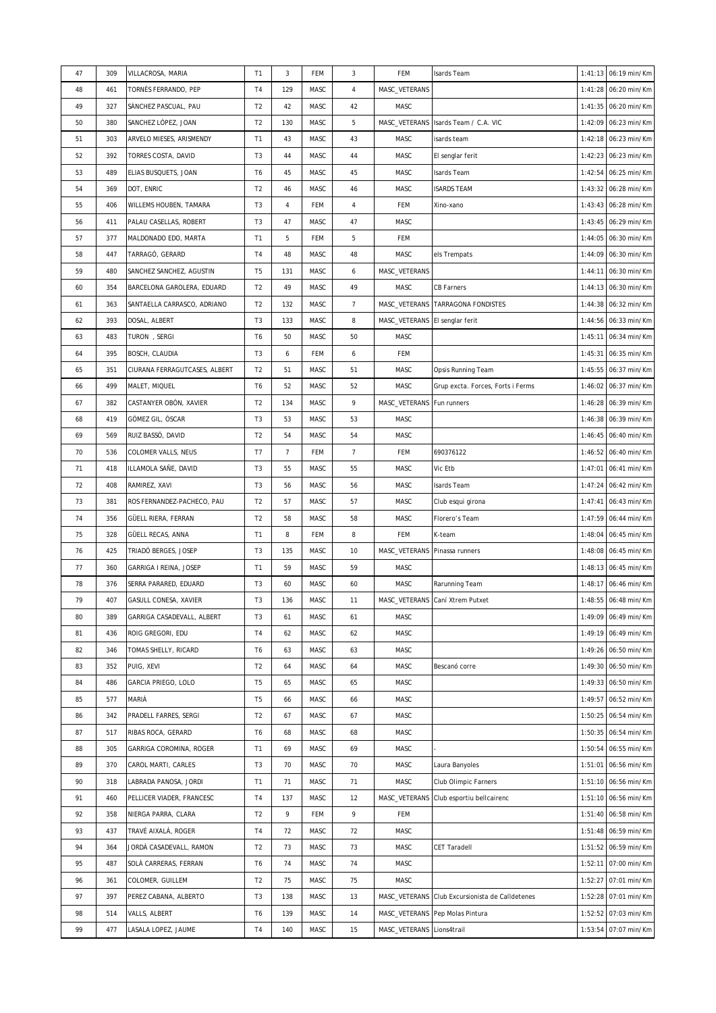| 47 | 309 | VILLACROSA, MARIA             | T1             | 3              | FEM  | 3              | FEM                            | Isards Team                             | 1:41:13 | 06:19 min/Km         |
|----|-----|-------------------------------|----------------|----------------|------|----------------|--------------------------------|-----------------------------------------|---------|----------------------|
| 48 | 461 | TORNÉS FERRANDO, PEP          | T <sub>4</sub> | 129            | MASC | $\overline{4}$ | MASC_VETERANS                  |                                         | 1:41:28 | 06:20 min/Km         |
| 49 | 327 | SÀNCHEZ PASCUAL, PAU          | T <sub>2</sub> | 42             | MASC | 42             | MASC                           |                                         | 1:41:35 | 06:20 min/Km         |
| 50 | 380 | SANCHEZ LÓPEZ, JOAN           | T <sub>2</sub> | 130            | MASC | 5              | MASC_VETERANS                  | Isards Team / C.A. VIC                  | 1:42:09 | 06:23 min/Km         |
| 51 | 303 | ARVELO MIESES, ARISMENDY      | T <sub>1</sub> | 43             | MASC | 43             | MASC                           | isards team                             | 1:42:18 | 06:23 min/Km         |
| 52 | 392 | TORRES COSTA, DAVID           | T <sub>3</sub> | 44             | MASC | 44             | MASC                           | El senglar ferit                        | 1:42:23 | 06:23 min/Km         |
| 53 | 489 | ELIAS BUSQUETS, JOAN          | T <sub>6</sub> | 45             | MASC | 45             | MASC                           | Isards Team                             | 1:42:54 | 06:25 min/Km         |
| 54 | 369 | DOT, ENRIC                    | T <sub>2</sub> | 46             | MASC | 46             | MASC                           | <b>ISARDS TEAM</b>                      | 1:43:32 | 06:28 min/Km         |
| 55 | 406 | WILLEMS HOUBEN, TAMARA        | T <sub>3</sub> | 4              | FEM  | $\overline{4}$ | FEM                            | Xino-xano                               | 1:43:43 | 06:28 min/Km         |
| 56 | 411 | PALAU CASELLAS, ROBERT        | T <sub>3</sub> | 47             | MASC | 47             | MASC                           |                                         | 1:43:45 | 06:29 min/Km         |
| 57 | 377 | MALDONADO EDO, MARTA          | T <sub>1</sub> | 5              | FEM  | 5              | FEM                            |                                         | 1:44:05 | 06:30 min/Km         |
| 58 | 447 | TARRAGÓ, GERARD               | T <sub>4</sub> | 48             | MASC | 48             | MASC                           | els Trempats                            | 1:44:09 | 06:30 min/Km         |
| 59 | 480 | SANCHEZ SANCHEZ, AGUSTIN      | T <sub>5</sub> | 131            | MASC | 6              | MASC_VETERANS                  |                                         | 1:44:11 | 06:30 min/Km         |
| 60 | 354 | BARCELONA GAROLERA, EDUARD    | T <sub>2</sub> | 49             | MASC | 49             | MASC                           | <b>CB Farners</b>                       | 1:44:13 | 06:30 min/Km         |
| 61 | 363 | SANTAELLA CARRASCO, ADRIANO   | T <sub>2</sub> | 132            | MASC | $\overline{7}$ |                                | MASC_VETERANS TARRAGONA FONDISTES       | 1:44:38 | 06:32 min/Km         |
| 62 | 393 | DOSAL, ALBERT                 | T <sub>3</sub> | 133            | MASC | 8              | MASC_VETERANS El senglar ferit |                                         | 1:44:56 | 06:33 min/Km         |
| 63 | 483 | TURON, SERGI                  | T <sub>6</sub> | 50             | MASC | 50             | MASC                           |                                         | 1:45:11 | 06:34 min/Km         |
| 64 | 395 | <b>BOSCH, CLAUDIA</b>         | T <sub>3</sub> | 6              | FEM  | 6              | FEM                            |                                         | 1:45:31 | 06:35 min/Km         |
| 65 | 351 | CIURANA FERRAGUTCASES, ALBERT | T <sub>2</sub> | 51             | MASC | 51             | MASC                           | Opsis Running Team                      | 1:45:55 | 06:37 min/Km         |
| 66 | 499 | MALET, MIQUEL                 | T <sub>6</sub> | 52             | MASC | 52             | MASC                           | Grup excta. Forces, Forts i Ferms       | 1:46:02 | 06:37 min/Km         |
| 67 | 382 | CASTANYER OBÓN, XAVIER        | T <sub>2</sub> | 134            | MASC | 9              | MASC_VETERANS Fun runners      |                                         | 1:46:28 | 06:39 min/Km         |
| 68 | 419 | GÓMEZ GIL, ÓSCAR              | T <sub>3</sub> | 53             | MASC | 53             | MASC                           |                                         | 1:46:38 | 06:39 min/Km         |
| 69 | 569 | RUIZ BASSÓ, DAVID             | T <sub>2</sub> | 54             | MASC | 54             | MASC                           |                                         | 1:46:45 | 06:40 min/Km         |
| 70 | 536 | COLOMER VALLS, NEUS           | T7             | $\overline{7}$ | FEM  | $\overline{7}$ | FEM                            | 690376122                               | 1:46:52 | 06:40 min/Km         |
| 71 | 418 | ILLAMOLA SAÑE, DAVID          | T <sub>3</sub> | 55             | MASC | 55             | MASC                           | Vic Etb                                 | 1:47:01 | 06:41 min/Km         |
| 72 | 408 | RAMIREZ, XAVI                 | T <sub>3</sub> | 56             | MASC | 56             | MASC                           | Isards Team                             | 1:47:24 | 06:42 min/Km         |
| 73 | 381 | ROS FERNANDEZ-PACHECO, PAU    | T <sub>2</sub> | 57             | MASC | 57             | MASC                           | Club esqui girona                       | 1:47:41 | 06:43 min/Km         |
| 74 | 356 | GÜELL RIERA, FERRAN           | T <sub>2</sub> | 58             | MASC | 58             | MASC                           | Florero's Team                          | 1:47:59 | 06:44 min/Km         |
| 75 | 328 | GÜELL RECAS, ANNA             | T <sub>1</sub> | 8              | FEM  | 8              | FEM                            | K-team                                  | 1:48:04 | 06:45 min/Km         |
| 76 | 425 | TRIADÓ BERGES, JOSEP          | T <sub>3</sub> | 135            | MASC | 10             | MASC_VETERANS                  | Pinassa runners                         | 1:48:08 | 06:45 min/Km         |
| 77 | 360 | GARRIGA I REINA, JOSEP        | T1             | 59             | MASC | 59             | MASC                           |                                         | 1:48:13 | 06:45 min/Km         |
| 78 | 376 | SERRA PARARED, EDUARD         | T <sub>3</sub> | 60             | MASC | 60             | MASC                           | Rarunning Team                          | 1:48:17 | 06:46 min/Km         |
| 79 | 407 | GASULL CONESA, XAVIER         | T <sub>3</sub> | 136            | MASC | 11             |                                | MASC_VETERANS Cani Xtrem Putxet         |         | 1:48:55 06:48 min/Km |
| 80 | 389 | GARRIGA CASADEVALL, ALBERT    | T <sub>3</sub> | 61             | MASC | 61             | MASC                           |                                         | 1:49:09 | 06:49 min/Km         |
| 81 | 436 | ROIG GREGORI, EDU             | T4             | 62             | MASC | 62             | MASC                           |                                         | 1:49:19 | 06:49 min/Km         |
| 82 | 346 | TOMAS SHELLY, RICARD          | T6             | 63             | MASC | 63             | MASC                           |                                         | 1:49:26 | 06:50 min/Km         |
| 83 | 352 | PUIG, XEVI                    | T <sub>2</sub> | 64             | MASC | 64             | MASC                           | Bescanó corre                           | 1:49:30 | 06:50 min/Km         |
| 84 | 486 | GARCIA PRIEGO, LOLO           | T <sub>5</sub> | 65             | MASC | 65             | MASC                           |                                         | 1:49:33 | 06:50 min/Km         |
| 85 | 577 | MARIÀ                         | T <sub>5</sub> | 66             | MASC | 66             | MASC                           |                                         | 1:49:57 | 06:52 min/Km         |
| 86 | 342 | PRADELL FARRES, SERGI         | T <sub>2</sub> | 67             | MASC | 67             | MASC                           |                                         | 1:50:25 | 06:54 min/Km         |
| 87 | 517 | RIBAS ROCA, GERARD            | T <sub>6</sub> | 68             | MASC | 68             | MASC                           |                                         | 1:50:35 | 06:54 min/Km         |
| 88 | 305 | GARRIGA COROMINA, ROGER       | T <sub>1</sub> | 69             | MASC | 69             | MASC                           |                                         | 1:50:54 | 06:55 min/Km         |
| 89 | 370 | CAROL MARTI, CARLES           | T <sub>3</sub> | 70             | MASC | 70             | MASC                           | Laura Banyoles                          | 1:51:01 | 06:56 min/Km         |
| 90 | 318 | LABRADA PANOSA, JORDI         | T1             | 71             | MASC | 71             | MASC                           | <b>Club Olimpic Farners</b>             | 1:51:10 | 06:56 min/Km         |
| 91 | 460 | PELLICER VIADER, FRANCESC     | T <sub>4</sub> | 137            | MASC | 12             |                                | MASC_VETERANS Club esportiu bellcairenc | 1:51:10 | 06:56 min/Km         |
| 92 | 358 | NIERGA PARRA, CLARA           | T <sub>2</sub> | 9              | FEM  | 9              | FEM                            |                                         | 1:51:40 | 06:58 min/Km         |
| 93 | 437 | TRAVÉ AIXALÁ, ROGER           | T <sub>4</sub> | 72             | MASC | 72             | MASC                           |                                         | 1:51:48 | 06:59 min/Km         |
| 94 | 364 | JORDÀ CASADEVALL, RAMON       | T <sub>2</sub> | 73             | MASC | 73             | MASC                           | <b>CET Taradell</b>                     | 1:51:52 | 06:59 min/Km         |
| 95 | 487 | SOLÀ CARRERAS, FERRAN         | T <sub>6</sub> | 74             | MASC | 74             | MASC                           |                                         | 1:52:11 | 07:00 min/Km         |
| 96 | 361 | COLOMER, GUILLEM              | T <sub>2</sub> | 75             | MASC | 75             | MASC                           |                                         | 1:52:27 | 07:01 min/Km         |
| 97 | 397 | PEREZ CABANA, ALBERTO         | T <sub>3</sub> | 138            | MASC | 13             | MASC_VETERANS                  | Club Excursionista de Calldetenes       | 1:52:28 | 07:01 min/Km         |
|    |     |                               |                |                |      |                |                                |                                         |         |                      |
| 98 | 514 | VALLS, ALBERT                 | T <sub>6</sub> | 139            | MASC | 14             |                                | MASC_VETERANS Pep Molas Pintura         | 1:52:52 | 07:03 min/Km         |
| 99 | 477 | LASALA LOPEZ, JAUME           | T <sub>4</sub> | 140            | MASC | 15             | MASC_VETERANS Lions4trail      |                                         | 1:53:54 | 07:07 min/Km         |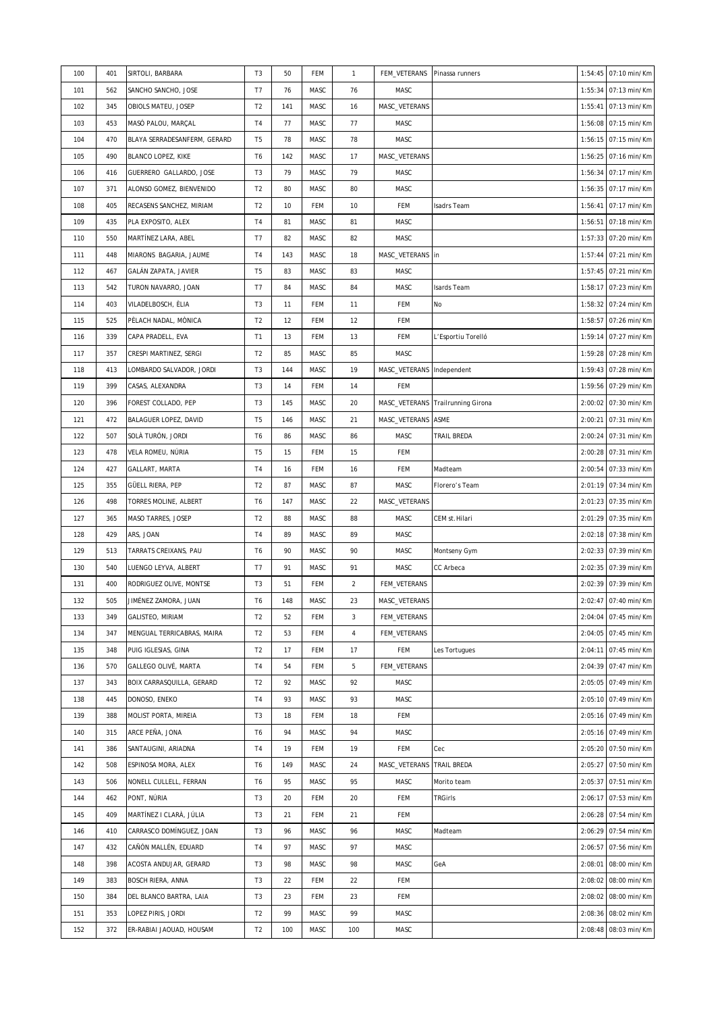| 100 | 401 | SIRTOLI, BARBARA             | T <sub>3</sub> | 50  | FEM        | $\mathbf{1}$   | FEM_VETERANS              | Pinassa runners                   | 1:54:45 | 07:10 min/Km         |
|-----|-----|------------------------------|----------------|-----|------------|----------------|---------------------------|-----------------------------------|---------|----------------------|
| 101 | 562 | SANCHO SANCHO, JOSE          | T7             | 76  | MASC       | 76             | MASC                      |                                   | 1:55:34 | 07:13 min/Km         |
| 102 | 345 | OBIOLS MATEU, JOSEP          | T <sub>2</sub> | 141 | MASC       | 16             | MASC_VETERANS             |                                   | 1:55:41 | 07:13 min/Km         |
| 103 | 453 | MASÓ PALOU, MARÇAL           | T4             | 77  | MASC       | 77             | MASC                      |                                   | 1:56:08 | 07:15 min/Km         |
| 104 | 470 | BLAYA SERRADESANFERM, GERARD | T <sub>5</sub> | 78  | MASC       | 78             | MASC                      |                                   | 1:56:15 | 07:15 min/Km         |
| 105 | 490 | BLANCO LOPEZ, KIKE           | T6             | 142 | MASC       | 17             | MASC_VETERANS             |                                   | 1:56:25 | 07:16 min/Km         |
| 106 | 416 | GUERRERO GALLARDO, JOSE      | T <sub>3</sub> | 79  | MASC       | 79             | MASC                      |                                   | 1:56:34 | 07:17 min/Km         |
| 107 | 371 | ALONSO GOMEZ, BIENVENIDO     | T <sub>2</sub> | 80  | MASC       | 80             | MASC                      |                                   | 1:56:35 | 07:17 min/Km         |
| 108 | 405 | RECASENS SANCHEZ, MIRIAM     | T <sub>2</sub> | 10  | FEM        | 10             | FEM                       | Isadrs Team                       | 1:56:41 | 07:17 min/Km         |
| 109 | 435 | PLA EXPOSITO, ALEX           | T <sub>4</sub> | 81  | MASC       | 81             | MASC                      |                                   | 1:56:51 | 07:18 min/Km         |
| 110 | 550 | MARTÍNEZ LARA, ABEL          | T7             | 82  | MASC       | 82             | MASC                      |                                   | 1:57:33 | 07:20 min/Km         |
| 111 | 448 | MIARONS BAGARIA, JAUME       | T <sub>4</sub> | 143 | MASC       | 18             | MASC_VETERANS in          |                                   | 1:57:44 | 07:21 min/Km         |
| 112 | 467 | GALÁN ZAPATA, JAVIER         | T <sub>5</sub> | 83  | MASC       | 83             | MASC                      |                                   | 1:57:45 | 07:21 min/Km         |
| 113 | 542 | TURON NAVARRO, JOAN          | T7             | 84  | MASC       | 84             | MASC                      | Isards Team                       | 1:58:17 | 07:23 min/Km         |
| 114 | 403 | VILADELBOSCH, ÈLIA           | T <sub>3</sub> | 11  | FEM        | 11             | FEM                       | No                                | 1:58:32 | 07:24 min/Km         |
| 115 | 525 | PÈLACH NADAL, MÒNICA         | T <sub>2</sub> | 12  | FEM        | 12             | FEM                       |                                   | 1:58:57 | 07:26 min/Km         |
| 116 | 339 | CAPA PRADELL, EVA            | T <sub>1</sub> | 13  | FEM        | 13             | FEM                       | L'Esportiu Torelló                | 1:59:14 | 07:27 min/Km         |
| 117 | 357 | CRESPI MARTINEZ, SERGI       | T <sub>2</sub> | 85  | MASC       | 85             | MASC                      |                                   | 1:59:28 | 07:28 min/Km         |
| 118 | 413 | LOMBARDO SALVADOR, JORDI     | T <sub>3</sub> | 144 | MASC       | 19             | MASC_VETERANS Independent |                                   | 1:59:43 | 07:28 min/Km         |
| 119 | 399 | CASAS, ALEXANDRA             | T <sub>3</sub> | 14  | FEM        | 14             | FEM                       |                                   | 1:59:56 | 07:29 min/Km         |
| 120 | 396 | FOREST COLLADO, PEP          | T <sub>3</sub> | 145 | MASC       | 20             |                           | MASC_VETERANS Trailrunning Girona | 2:00:02 | 07:30 min/Km         |
| 121 | 472 | BALAGUER LOPEZ, DAVID        | T <sub>5</sub> | 146 | MASC       | 21             | MASC_VETERANS ASME        |                                   | 2:00:21 | 07:31 min/Km         |
| 122 | 507 | SOLÀ TURÓN, JORDI            | T <sub>6</sub> | 86  | MASC       | 86             | MASC                      | TRAIL BREDA                       | 2:00:24 | 07:31 min/Km         |
| 123 | 478 | VELA ROMEU, NÚRIA            | T <sub>5</sub> | 15  | FEM        | 15             | FEM                       |                                   | 2:00:28 | 07:31 min/Km         |
| 124 | 427 | GALLART, MARTA               | T <sub>4</sub> | 16  | FEM        | 16             | FEM                       | Madteam                           | 2:00:54 | 07:33 min/Km         |
| 125 | 355 | GÜELL RIERA, PEP             | T <sub>2</sub> | 87  | MASC       | 87             | MASC                      | Florero's Team                    | 2:01:19 | 07:34 min/Km         |
| 126 | 498 | TORRES MOLINE, ALBERT        | T6             | 147 | MASC       | 22             | MASC_VETERANS             |                                   | 2:01:23 | 07:35 min/Km         |
| 127 | 365 | MASO TARRES, JOSEP           | T <sub>2</sub> | 88  | MASC       | 88             | MASC                      | CEM st.Hilari                     | 2:01:29 | 07:35 min/Km         |
| 128 | 429 | ARS, JOAN                    | T <sub>4</sub> | 89  | MASC       | 89             | MASC                      |                                   | 2:02:18 | 07:38 min/Km         |
| 129 | 513 | TARRATS CREIXANS, PAU        | T <sub>6</sub> | 90  | MASC       | 90             | MASC                      | Montseny Gym                      | 2:02:33 | 07:39 min/Km         |
| 130 | 540 | LUENGO LEYVA, ALBERT         | T7             | 91  | MASC       | 91             | MASC                      | CC Arbeca                         | 2:02:35 | 07:39 min/Km         |
| 131 | 400 | RODRIGUEZ OLIVE, MONTSE      | T <sub>3</sub> | 51  | FEM        | $\overline{a}$ | FEM_VETERANS              |                                   |         | 2:02:39 07:39 min/Km |
| 132 | 505 | JIMÉNEZ ZAMORA, JUAN         | T <sub>6</sub> | 148 | MASC       | 23             | MASC_VETERANS             |                                   |         | 2:02:47 07:40 min/Km |
| 133 | 349 | GALISTEO, MIRIAM             | T <sub>2</sub> | 52  | FEM        | 3              | FEM_VETERANS              |                                   | 2:04:04 | 07:45 min/Km         |
|     |     |                              |                |     |            |                |                           |                                   |         |                      |
| 134 | 347 | MENGUAL TERRICABRAS, MAIRA   | T <sub>2</sub> | 53  | <b>FEM</b> | $\overline{4}$ | FEM_VETERANS              |                                   | 2:04:05 | 07:45 min/Km         |
| 135 | 348 | PUIG IGLESIAS, GINA          | T <sub>2</sub> | 17  | FEM        | 17             | FEM                       | Les Tortugues                     | 2:04:11 | 07:45 min/Km         |
| 136 | 570 | GALLEGO OLIVÉ, MARTA         | T <sub>4</sub> | 54  | <b>FEM</b> | 5              | FEM_VETERANS              |                                   | 2:04:39 | 07:47 min/Km         |
| 137 | 343 | BOIX CARRASQUILLA, GERARD    | T <sub>2</sub> | 92  | MASC       | 92             | MASC                      |                                   | 2:05:05 | 07:49 min/Km         |
| 138 | 445 | DONOSO, ENEKO                | T <sub>4</sub> | 93  | MASC       | 93             | MASC                      |                                   | 2:05:10 | 07:49 min/Km         |
| 139 | 388 | MOLIST PORTA, MIREIA         | T <sub>3</sub> | 18  | <b>FEM</b> | 18             | FEM                       |                                   | 2:05:16 | 07:49 min/Km         |
| 140 | 315 | ARCE PEÑA, JONA              | T <sub>6</sub> | 94  | MASC       | 94             | MASC                      |                                   | 2:05:16 | 07:49 min/Km         |
| 141 | 386 | SANTAUGINI, ARIADNA          | T <sub>4</sub> | 19  | FEM        | 19             | FEM                       | Cec                               | 2:05:20 | 07:50 min/Km         |
| 142 | 508 | ESPINOSA MORA, ALEX          | T <sub>6</sub> | 149 | MASC       | 24             | MASC_VETERANS             | TRAIL BREDA                       | 2:05:27 | 07:50 min/Km         |
| 143 | 506 | NONELL CULLELL, FERRAN       | T6             | 95  | MASC       | 95             | MASC                      | Morito team                       | 2:05:37 | 07:51 min/Km         |
| 144 | 462 | PONT, NÚRIA                  | T <sub>3</sub> | 20  | <b>FEM</b> | 20             | FEM                       | <b>TRGirls</b>                    | 2:06:17 | 07:53 min/Km         |
| 145 | 409 | MARTÍNEZ I CLARÀ, JÚLIA      | T <sub>3</sub> | 21  | <b>FEM</b> | 21             | FEM                       |                                   | 2:06:28 | 07:54 min/Km         |
| 146 | 410 | CARRASCO DOMÍNGUEZ, JOAN     | T <sub>3</sub> | 96  | MASC       | 96             | MASC                      | Madteam                           | 2:06:29 | 07:54 min/Km         |
| 147 | 432 | CAÑÓN MALLÉN, EDUARD         | T <sub>4</sub> | 97  | MASC       | 97             | MASC                      |                                   | 2:06:57 | 07:56 min/Km         |
| 148 | 398 | ACOSTA ANDUJAR, GERARD       | T <sub>3</sub> | 98  | MASC       | 98             | MASC                      | GeA                               | 2:08:01 | 08:00 min/Km         |
| 149 | 383 | <b>BOSCH RIERA, ANNA</b>     | T <sub>3</sub> | 22  | FEM        | 22             | FEM                       |                                   | 2:08:02 | 08:00 min/Km         |
| 150 | 384 | DEL BLANCO BARTRA, LAIA      | T <sub>3</sub> | 23  | FEM        | 23             | FEM                       |                                   | 2:08:02 | 08:00 min/Km         |
| 151 | 353 | LOPEZ PIRIS, JORDI           | T <sub>2</sub> | 99  | MASC       | 99             | MASC                      |                                   | 2:08:36 | 08:02 min/Km         |
| 152 | 372 | ER-RABIAI JAOUAD, HOUSAM     | T <sub>2</sub> | 100 | MASC       | 100            | MASC                      |                                   | 2:08:48 | 08:03 min/Km         |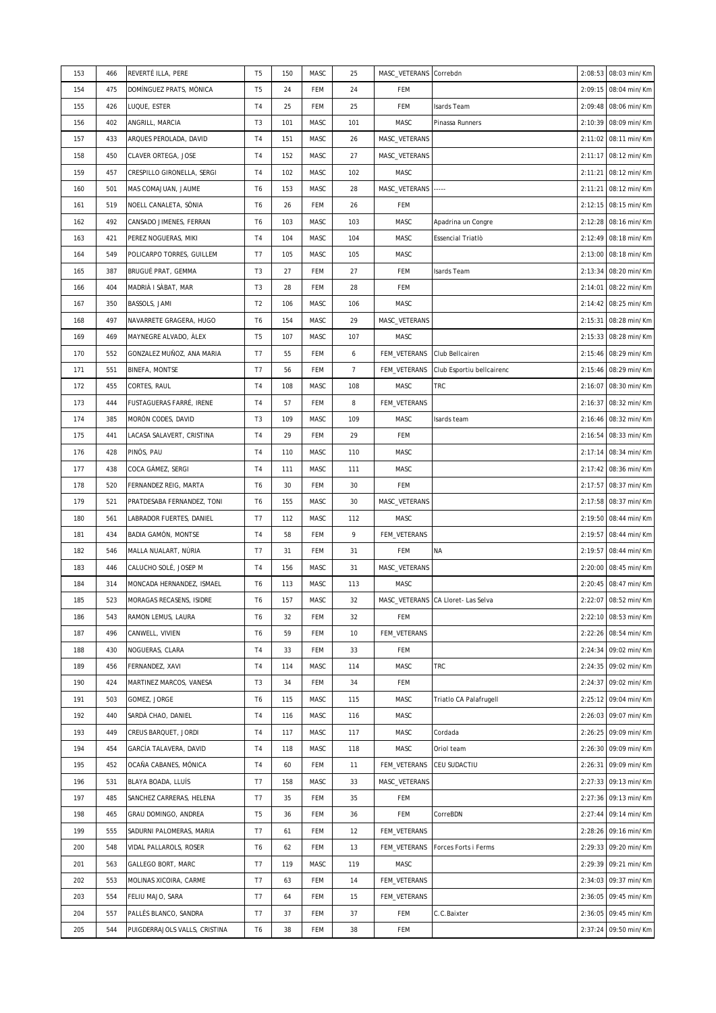| 153 | 466 | REVERTÉ ILLA, PERE            | T <sub>5</sub> | 150 | MASC       | 25             | MASC_VETERANS Correbdn |                                    | 2:08:53 | 08:03 min/Km         |
|-----|-----|-------------------------------|----------------|-----|------------|----------------|------------------------|------------------------------------|---------|----------------------|
| 154 | 475 | DOMÍNGUEZ PRATS, MÒNICA       | T <sub>5</sub> | 24  | FEM        | 24             | FEM                    |                                    | 2:09:15 | 08:04 min/Km         |
| 155 | 426 | LUQUE, ESTER                  | T <sub>4</sub> | 25  | FEM        | 25             | FEM                    | Isards Team                        | 2:09:48 | 08:06 min/Km         |
| 156 | 402 | ANGRILL, MARCIA               | T3             | 101 | MASC       | 101            | MASC                   | Pinassa Runners                    | 2:10:39 | 08:09 min/Km         |
| 157 | 433 | ARQUES PEROLADA, DAVID        | T <sub>4</sub> | 151 | MASC       | 26             | MASC_VETERANS          |                                    | 2:11:02 | 08:11 min/Km         |
| 158 | 450 | CLAVER ORTEGA, JOSE           | T4             | 152 | MASC       | 27             | MASC_VETERANS          |                                    | 2:11:17 | 08:12 min/Km         |
| 159 | 457 | CRESPILLO GIRONELLA, SERGI    | T4             | 102 | MASC       | 102            | MASC                   |                                    | 2:11:21 | 08:12 min/Km         |
| 160 | 501 | MAS COMAJUAN, JAUME           | T6             | 153 | MASC       | 28             | MASC_VETERANS -----    |                                    | 2:11:21 | 08:12 min/Km         |
| 161 | 519 | NOELL CANALETA, SÒNIA         | T <sub>6</sub> | 26  | FEM        | 26             | FEM                    |                                    | 2:12:15 | 08:15 min/Km         |
| 162 | 492 | CANSADO JIMENES, FERRAN       | T <sub>6</sub> | 103 | MASC       | 103            | MASC                   | Apadrina un Congre                 | 2:12:28 | 08:16 min/Km         |
| 163 | 421 | PEREZ NOGUERAS, MIKI          | T4             | 104 | MASC       | 104            | MASC                   | Essencial Triatlò                  | 2:12:49 | 08:18 min/Km         |
| 164 | 549 | POLICARPO TORRES, GUILLEM     | T7             | 105 | MASC       | 105            | MASC                   |                                    | 2:13:00 | 08:18 min/Km         |
| 165 | 387 | BRUGUÉ PRAT, GEMMA            | T <sub>3</sub> | 27  | FEM        | 27             | FEM                    | Isards Team                        | 2:13:34 | 08:20 min/Km         |
| 166 | 404 | MADRIÀ I SÀBAT, MAR           | T <sub>3</sub> | 28  | <b>FEM</b> | 28             | FEM                    |                                    | 2:14:01 | 08:22 min/Km         |
| 167 | 350 | BASSOLS, JAMI                 | T <sub>2</sub> | 106 | MASC       | 106            | MASC                   |                                    | 2:14:42 | 08:25 min/Km         |
| 168 | 497 | NAVARRETE GRAGERA, HUGO       | T6             | 154 | MASC       | 29             | MASC_VETERANS          |                                    | 2:15:31 | 08:28 min/Km         |
| 169 | 469 | MAYNEGRE ALVADO, ÀLEX         | T <sub>5</sub> | 107 | MASC       | 107            | MASC                   |                                    | 2:15:33 | 08:28 min/Km         |
| 170 | 552 | GONZALEZ MUÑOZ, ANA MARIA     | T7             | 55  | FEM        | 6              | FEM_VETERANS           | Club Bellcairen                    | 2:15:46 | 08:29 min/Km         |
| 171 | 551 | <b>BINEFA, MONTSE</b>         | T7             | 56  | FEM        | $\overline{7}$ | FEM_VETERANS           | Club Esportiu bellcairenc          | 2:15:46 | 08:29 min/Km         |
| 172 | 455 | CORTES, RAUL                  | T <sub>4</sub> | 108 | MASC       | 108            | MASC                   | <b>TRC</b>                         | 2:16:07 | 08:30 min/Km         |
| 173 | 444 | FUSTAGUERAS FARRÉ, IRENE      | T <sub>4</sub> | 57  | FEM        | 8              | FEM_VETERANS           |                                    | 2:16:37 | 08:32 min/Km         |
| 174 | 385 | MORÓN CODES, DAVID            | T <sub>3</sub> | 109 | MASC       | 109            | MASC                   | Isards team                        | 2:16:46 | 08:32 min/Km         |
| 175 | 441 | LACASA SALAVERT, CRISTINA     | T <sub>4</sub> | 29  | <b>FEM</b> | 29             | FEM                    |                                    | 2:16:54 | 08:33 min/Km         |
| 176 | 428 | PINÓS, PAU                    | T <sub>4</sub> | 110 | MASC       | 110            | MASC                   |                                    | 2:17:14 | 08:34 min/Km         |
| 177 | 438 | COCA GÁMEZ, SERGI             | T <sub>4</sub> | 111 | MASC       | 111            | MASC                   |                                    | 2:17:42 | 08:36 min/Km         |
| 178 | 520 | FERNANDEZ REIG, MARTA         | T6             | 30  | FEM        | 30             | FEM                    |                                    | 2:17:57 | 08:37 min/Km         |
| 179 | 521 | PRATDESABA FERNANDEZ, TONI    | T <sub>6</sub> | 155 | MASC       | 30             | MASC_VETERANS          |                                    | 2:17:58 | 08:37 min/Km         |
| 180 | 561 | LABRADOR FUERTES, DANIEL      | T7             | 112 | MASC       | 112            | MASC                   |                                    | 2:19:50 | 08:44 min/Km         |
| 181 | 434 | BADIA GAMÓN, MONTSE           | T <sub>4</sub> | 58  | FEM        | 9              | FEM_VETERANS           |                                    | 2:19:57 | 08:44 min/Km         |
| 182 | 546 | MALLA NUALART, NÚRIA          | T7             | 31  | <b>FEM</b> | 31             | FEM                    | <b>NA</b>                          | 2:19:57 | 08:44 min/Km         |
| 183 | 446 | CALUCHO SOLÉ, JOSEP M         | T <sub>4</sub> | 156 | MASC       | 31             | MASC_VETERANS          |                                    | 2:20:00 | 08:45 min/Km         |
| 184 | 314 | MONCADA HERNANDEZ, ISMAEL     | T <sub>6</sub> | 113 | MASC       | 113            | MASC                   |                                    | 2:20:45 | 08:47 min/Km         |
| 185 | 523 | MORAGAS RECASENS, ISIDRE      | T6             | 157 | MASC       | 32             |                        | MASC_VETERANS CA Lloret- Las Selva |         | 2:22:07 08:52 min/Km |
| 186 | 543 | RAMON LEMUS, LAURA            | T6             | 32  | FEM        | 32             | FEM                    |                                    | 2:22:10 | 08:53 min/Km         |
|     |     |                               |                |     |            |                |                        |                                    |         |                      |
| 187 | 496 | CANWELL, VIVIEN               | T <sub>6</sub> | 59  | FEM        | 10             | FEM_VETERANS           |                                    | 2:22:26 | 08:54 min/Km         |
| 188 | 430 | NOGUERAS, CLARA               | T4             | 33  | FEM        | 33             | FEM                    |                                    | 2:24:34 | 09:02 min/Km         |
| 189 | 456 | FERNANDEZ, XAVI               | T <sub>4</sub> | 114 | MASC       | 114            | MASC                   | <b>TRC</b>                         | 2:24:35 | 09:02 min/Km         |
| 190 | 424 | MARTINEZ MARCOS, VANESA       | T <sub>3</sub> | 34  | FEM        | 34             | FEM                    |                                    | 2:24:37 | 09:02 min/Km         |
| 191 | 503 | GOMEZ, JORGE                  | T <sub>6</sub> | 115 | MASC       | 115            | MASC                   | Triatlo CA Palafrugell             | 2:25:12 | 09:04 min/Km         |
| 192 | 440 | SARDÀ CHAO, DANIEL            | T <sub>4</sub> | 116 | MASC       | 116            | MASC                   |                                    | 2:26:03 | 09:07 min/Km         |
| 193 | 449 | CREUS BARQUET, JORDI          | T <sub>4</sub> | 117 | MASC       | 117            | MASC                   | Cordada                            | 2:26:25 | 09:09 min/Km         |
| 194 | 454 | GARCÍA TALAVERA, DAVID        | T <sub>4</sub> | 118 | MASC       | 118            | MASC                   | Oriol team                         | 2:26:30 | 09:09 min/Km         |
| 195 | 452 | OCAÑA CABANES, MÓNICA         | T <sub>4</sub> | 60  | FEM        | 11             | FEM_VETERANS           | CEU SUDACTIU                       | 2:26:31 | 09:09 min/Km         |
| 196 | 531 | BLAYA BOADA, LLUÍS            | T7             | 158 | MASC       | 33             | MASC_VETERANS          |                                    | 2:27:33 | 09:13 min/Km         |
| 197 | 485 | SANCHEZ CARRERAS, HELENA      | T7             | 35  | FEM        | 35             | FEM                    |                                    | 2:27:36 | 09:13 min/Km         |
| 198 | 465 | GRAU DOMINGO, ANDREA          | T <sub>5</sub> | 36  | FEM        | 36             | FEM                    | CorreBDN                           | 2:27:44 | 09:14 min/Km         |
| 199 | 555 | SADURNI PALOMERAS, MARIA      | T7             | 61  | FEM        | 12             | FEM_VETERANS           |                                    | 2:28:26 | 09:16 min/Km         |
| 200 | 548 | VIDAL PALLAROLS, ROSER        | T <sub>6</sub> | 62  | FEM        | 13             | FEM_VETERANS           | Forces Forts i Ferms               | 2:29:33 | 09:20 min/Km         |
| 201 | 563 | GALLEGO BORT, MARC            | T7             | 119 | MASC       | 119            | MASC                   |                                    | 2:29:39 | 09:21 min/Km         |
| 202 | 553 | MOLINAS XICOIRA, CARME        | T7             | 63  | FEM        | 14             | FEM_VETERANS           |                                    | 2:34:03 | 09:37 min/Km         |
| 203 | 554 | FELIU MAJO, SARA              | T7             | 64  | FEM        | 15             | FEM_VETERANS           |                                    | 2:36:05 | 09:45 min/Km         |
| 204 | 557 | PALLÉS BLANCO, SANDRA         | T7             | 37  | FEM        | 37             | FEM                    | C.C.Baixter                        | 2:36:05 | 09:45 min/Km         |
| 205 | 544 | PUIGDERRAJOLS VALLS, CRISTINA | T <sub>6</sub> | 38  | FEM        | 38             | FEM                    |                                    | 2:37:24 | 09:50 min/Km         |